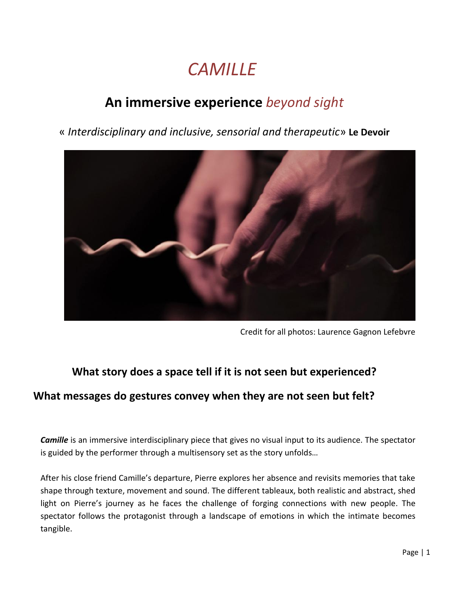## *CAMILLE*

### **An immersive experience** *beyond sight*

« *Interdisciplinary and inclusive, sensorial and therapeutic*» **Le Devoir**



Credit for all photos: Laurence Gagnon Lefebvre

### **What story does a space tell if it is not seen but experienced?**

### **What messages do gestures convey when they are not seen but felt?**

*Camille* is an immersive interdisciplinary piece that gives no visual input to its audience. The spectator is guided by the performer through a multisensory set as the story unfolds…

After his close friend Camille's departure, Pierre explores her absence and revisits memories that take shape through texture, movement and sound. The different tableaux, both realistic and abstract, shed light on Pierre's journey as he faces the challenge of forging connections with new people. The spectator follows the protagonist through a landscape of emotions in which the intimate becomes tangible.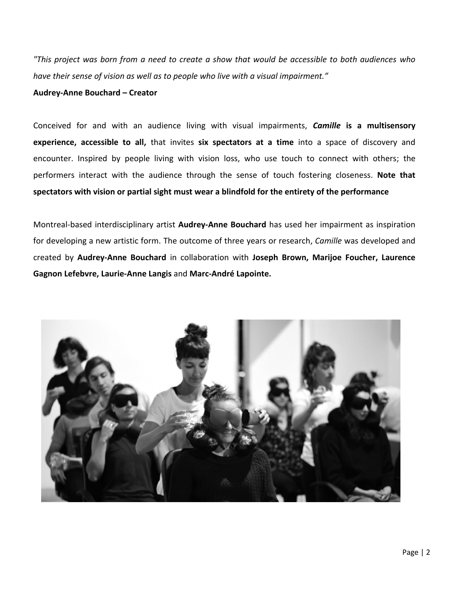*"This project was born from a need to create a show that would be accessible to both audiences who have their sense of vision as well as to people who live with a visual impairment."*

#### **Audrey-Anne Bouchard – Creator**

Conceived for and with an audience living with visual impairments, *Camille* **is a multisensory experience, accessible to all,** that invites **six spectators at a time** into a space of discovery and encounter. Inspired by people living with vision loss, who use touch to connect with others; the performers interact with the audience through the sense of touch fostering closeness. **Note that spectators with vision or partial sight must wear a blindfold for the entirety of the performance**

Montreal-based interdisciplinary artist **[Audrey-Anne Bouchard](https://www.facebook.com/audreyanne.bouchard.31)** has used her impairment as inspiration for developing a new artistic form. The outcome of three years or research, *Camille* was developed and created by **Audrey-Anne Bouchard** in collaboration with **Joseph Brown, Marijoe Foucher, Laurence Gagnon Lefebvre, Laurie-Anne Langis** and **Marc-André Lapointe.**

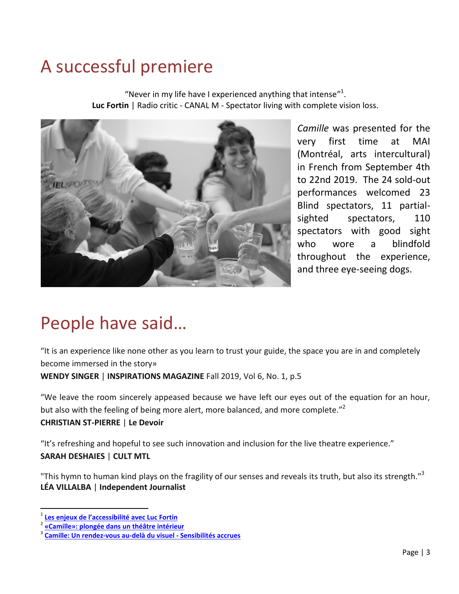## A successful premiere

"Never in my life have I experienced anything that intense"<sup>1</sup>. **Luc Fortin** | Radio critic - CANAL M - Spectator living with complete vision loss.



*Camille* was presented for the very first time at MAI (Montréal, arts intercultural) in French from September 4th to 22nd 2019. The 24 sold-out performances welcomed 23 Blind spectators, 11 partialsighted spectators, 110 spectators with good sight who wore a blindfold throughout the experience, and three eye-seeing dogs.

## People have said…

"It is an experience like none other as you learn to trust your guide, the space you are in and completely become immersed in the story» **WENDY SINGER** | **INSPIRATIONS MAGAZINE** Fall 2019, Vol 6, No. 1, p.5

"We leave the room sincerely appeased because we have left our eyes out of the equation for an hour, but also with the feeling of being more alert, more balanced, and more complete."<sup>2</sup> **CHRISTIAN ST-PIERRE** | **Le Devoir**

"It's refreshing and hopeful to see such innovation and inclusion for the live theatre experience." **SARAH DESHAIES** | **CULT MTL**

"This hymn to human kind plays on the fragility of our senses and reveals its truth, but also its strength."<sup>3</sup> **LÉA VILLALBA** | **Independent Journalist**

 $\overline{\phantom{a}}$ 

<sup>1</sup> **Les enjeux [de l'accessibilité avec Luc Fortin](https://canalm.vuesetvoix.com/radio/emissions/acces-libre/les-enjeux-de-laccessibilite-avec-luc-fortin-27/)**

<sup>2</sup> **[«Camille»: plongée dans un théâtre intérieur](https://www.ledevoir.com/culture/theatre/563050/camille-theatre-interieur?fbclid=IwAR1Y_2CRFxkP3N0hni2i9yVaz4Ei77_e7p1beJFJ1FR_HrbhpOqTtGDwDNI)**

<sup>3</sup> **[Camille: Un rendez-vous au-delà du visuel -](http://leavillalba.com/camille-un-rendez-vous-au-dela-du-visuel-sensibilites-accrues/?fbclid=IwAR2ijC1FtxmvVEpDEmNfRTIjU4L7mvhPe2XyWDnw3Ob7QhbTrKn64ddp3Yk) Sensibilités accrues**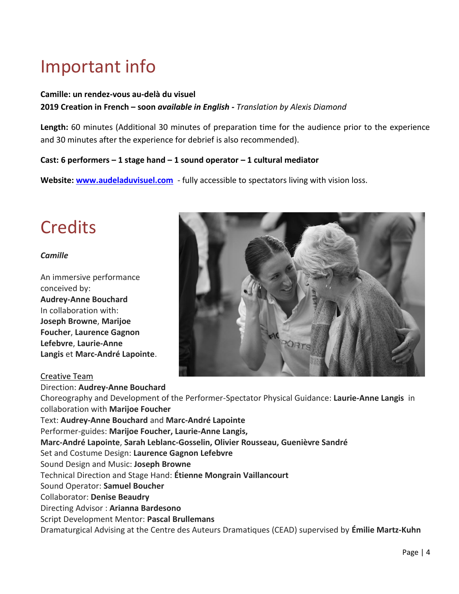# Important info

### **Camille: un rendez-vous au-delà du visuel 2019 Creation in French – soon** *available in English - Translation by Alexis Diamond*

**Length:** 60 minutes (Additional 30 minutes of preparation time for the audience prior to the experience and 30 minutes after the experience for debrief is also recommended).

#### **Cast: 6 performers – 1 stage hand – 1 sound operator – 1 cultural mediator**

**Website: [www.audeladuvisuel.com](http://www.audeladuvisuel.com/)** - fully accessible to spectators living with vision loss.

## **Credits**

#### *Camille*

An immersive performance conceived by: **Audrey-Anne Bouchard** In collaboration with: **Joseph Browne**, **Marijoe Foucher**, **Laurence Gagnon Lefebvre**, **Laurie-Anne Langis** et **Marc-André Lapointe**.



#### Creative Team

Direction: **Audrey-Anne Bouchard** Choreography and Development of the Performer-Spectator Physical Guidance: **Laurie-Anne Langis** in collaboration with **Marijoe Foucher** Text: **Audrey-Anne Bouchard** and **Marc-André Lapointe** Performer-guides: **Marijoe Foucher, Laurie-Anne Langis, Marc-André Lapointe**, **Sarah Leblanc-Gosselin, Olivier Rousseau, Guenièvre Sandré** Set and Costume Design: **Laurence Gagnon Lefebvre** Sound Design and Music: **Joseph Browne** Technical Direction and Stage Hand: **Étienne Mongrain Vaillancourt** Sound Operator: **Samuel Boucher** Collaborator: **Denise Beaudry** Directing Advisor : **Arianna Bardesono** Script Development Mentor: **Pascal Brullemans** Dramaturgical Advising at the Centre des Auteurs Dramatiques (CEAD) supervised by **Émilie Martz-Kuhn**